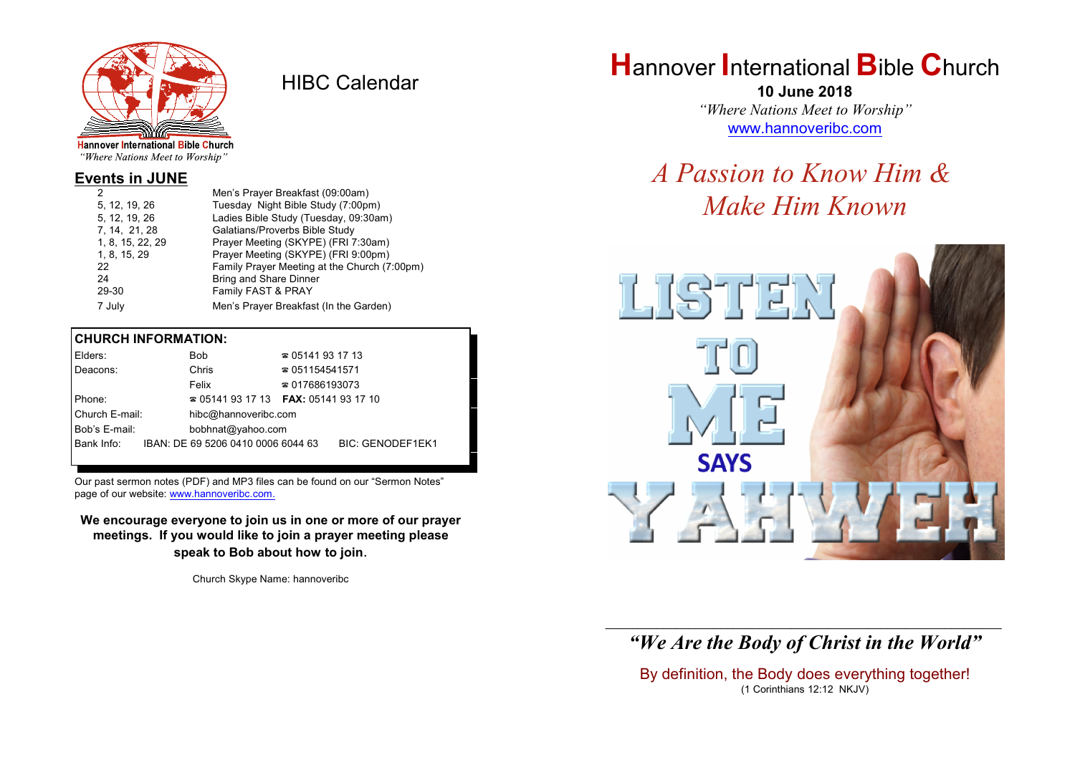

HIBC Calendar

"Where Nations Meet to Worship"

## **Events in JUNE**

| 2 |                  | Men's Prayer Breakfast (09:00am)             |
|---|------------------|----------------------------------------------|
|   | 5, 12, 19, 26    | Tuesday Night Bible Study (7:00pm)           |
|   | 5, 12, 19, 26    | Ladies Bible Study (Tuesday, 09:30am)        |
|   | 7, 14, 21, 28    | Galatians/Proverbs Bible Study               |
|   | 1, 8, 15, 22, 29 | Prayer Meeting (SKYPE) (FRI 7:30am)          |
|   | 1, 8, 15, 29     | Prayer Meeting (SKYPE) (FRI 9:00pm)          |
|   | 22               | Family Prayer Meeting at the Church (7:00pm) |
|   | 24               | Bring and Share Dinner                       |
|   | 29-30            | Family FAST & PRAY                           |
|   | 7 July           | Men's Prayer Breakfast (In the Garden)       |
|   |                  |                                              |

#### **CHURCH INFORMATION:**

| Elders:                            |  | <b>Bob</b>                         | $\approx 05141931713$                    |                  |  |  |
|------------------------------------|--|------------------------------------|------------------------------------------|------------------|--|--|
| Deacons:                           |  | Chris                              | $\approx 051154541571$                   |                  |  |  |
|                                    |  | Felix                              | $\approx 017686193073$                   |                  |  |  |
| Phone:                             |  |                                    | $\approx 05141931713$ FAX: 0514193 17 10 |                  |  |  |
| Church E-mail:                     |  | hibc@hannoveribc.com               |                                          |                  |  |  |
| Bob's E-mail:<br>bobhnat@yahoo.com |  |                                    |                                          |                  |  |  |
| Bank Info:                         |  | IBAN: DE 69 5206 0410 0006 6044 63 |                                          | BIC: GENODEF1EK1 |  |  |
|                                    |  |                                    |                                          |                  |  |  |

Our past sermon notes (PDF) and MP3 files can be found on our "Sermon Notes" page of our website: [www.hannoveribc.com.](http://www.hannoveribc.com.)

**We encourage everyone to join us in one or more of our prayer meetings. If you would like to join a prayer meeting please speak to Bob about how to join**.

Church Skype Name: hannoveribc

# **H**annover **I**nternational **B**ible **C**hurch

**10 June 2018** *"Where Nations Meet to Worship"* [www.hannoveribc.com](http://www.hannoveribc.com)

# *A Passion to Know Him & Make Him Known*



## \_\_\_\_\_\_\_\_\_\_\_\_\_\_\_\_\_\_\_\_\_\_\_\_\_\_\_\_\_\_\_\_\_\_\_\_\_\_\_\_\_\_\_\_\_\_\_\_\_\_\_\_\_\_\_\_\_\_\_\_\_\_ *"We Are the Body of Christ in the World"*

By definition, the Body does everything together! (1 Corinthians 12:12 NKJV)